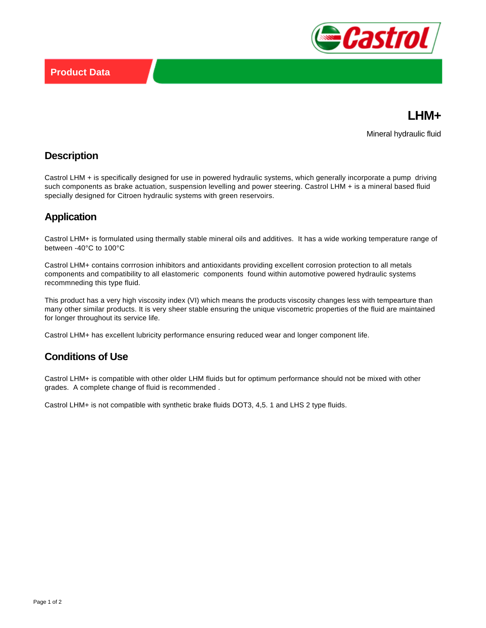



Mineral hydraulic fluid

#### **Description**

Castrol LHM + is specifically designed for use in powered hydraulic systems, which generally incorporate a pump driving such components as brake actuation, suspension levelling and power steering. Castrol LHM + is a mineral based fluid specially designed for Citroen hydraulic systems with green reservoirs.

# **Application**

Castrol LHM+ is formulated using thermally stable mineral oils and additives. It has a wide working temperature range of between -40°C to 100°C

Castrol LHM+ contains corrrosion inhibitors and antioxidants providing excellent corrosion protection to all metals components and compatibility to all elastomeric components found within automotive powered hydraulic systems recommneding this type fluid.

This product has a very high viscosity index (VI) which means the products viscosity changes less with tempearture than many other similar products. It is very sheer stable ensuring the unique viscometric properties of the fluid are maintained for longer throughout its service life.

Castrol LHM+ has excellent lubricity performance ensuring reduced wear and longer component life.

### **Conditions of Use**

Castrol LHM+ is compatible with other older LHM fluids but for optimum performance should not be mixed with other grades. A complete change of fluid is recommended .

Castrol LHM+ is not compatible with synthetic brake fluids DOT3, 4,5. 1 and LHS 2 type fluids.